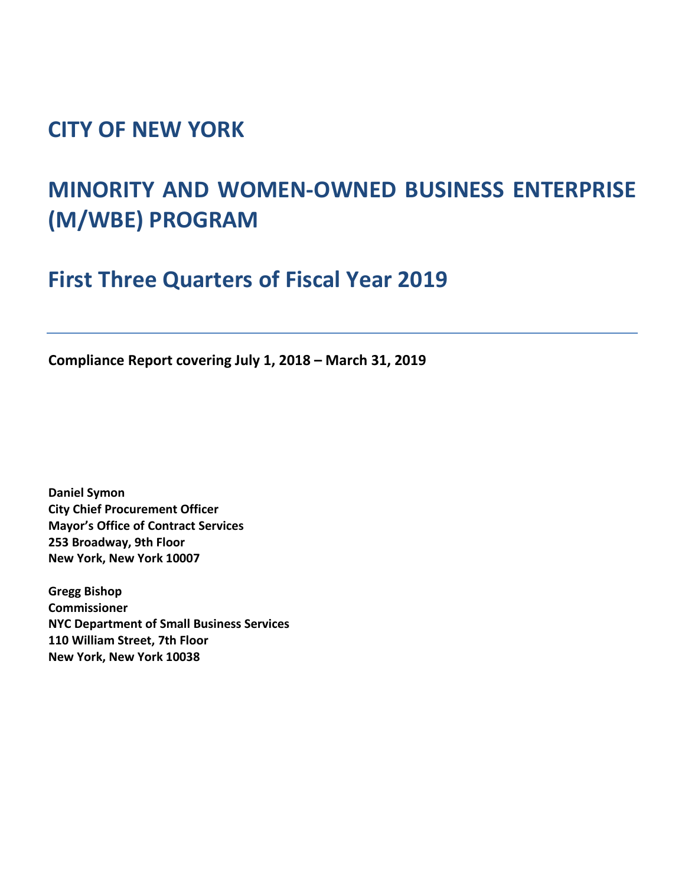## **CITY OF NEW YORK**

# **MINORITY AND WOMEN-OWNED BUSINESS ENTERPRISE (M/WBE) PROGRAM**

**First Three Quarters of Fiscal Year 2019**

**Compliance Report covering July 1, 2018 – March 31, 2019**

**Daniel Symon City Chief Procurement Officer Mayor's Office of Contract Services 253 Broadway, 9th Floor New York, New York 10007**

**Gregg Bishop Commissioner NYC Department of Small Business Services 110 William Street, 7th Floor New York, New York 10038**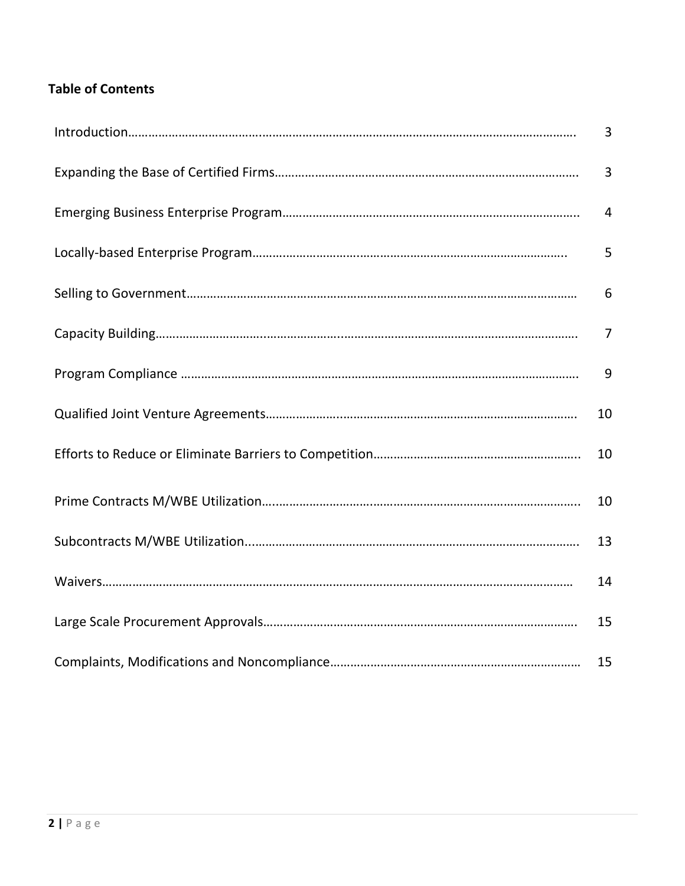### **Table of Contents**

| 3              |
|----------------|
| 3              |
| $\overline{4}$ |
| 5              |
| 6              |
| $\overline{7}$ |
| 9              |
| 10             |
| 10             |
| 10             |
| 13             |
| 14             |
| 15             |
| 15             |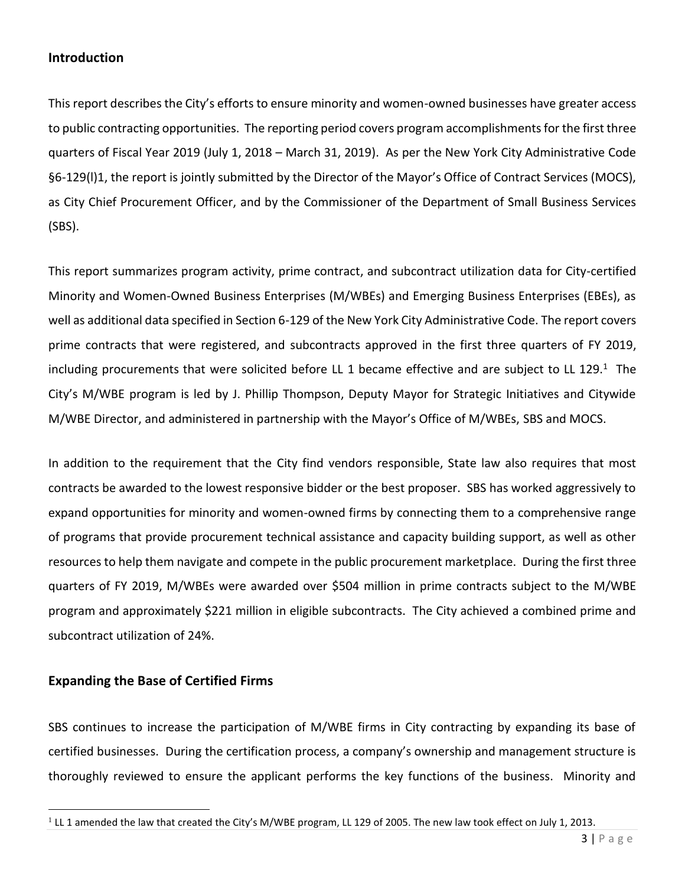#### **Introduction**

This report describes the City's efforts to ensure minority and women-owned businesses have greater access to public contracting opportunities. The reporting period covers program accomplishments for the first three quarters of Fiscal Year 2019 (July 1, 2018 – March 31, 2019). As per the New York City Administrative Code §6-129(l)1, the report is jointly submitted by the Director of the Mayor's Office of Contract Services (MOCS), as City Chief Procurement Officer, and by the Commissioner of the Department of Small Business Services (SBS).

This report summarizes program activity, prime contract, and subcontract utilization data for City-certified Minority and Women-Owned Business Enterprises (M/WBEs) and Emerging Business Enterprises (EBEs), as well as additional data specified in Section 6-129 of the New York City Administrative Code. The report covers prime contracts that were registered, and subcontracts approved in the first three quarters of FY 2019, including procurements that were solicited before LL 1 became effective and are subject to LL 129.<sup>1</sup> The City's M/WBE program is led by J. Phillip Thompson, Deputy Mayor for Strategic Initiatives and Citywide M/WBE Director, and administered in partnership with the Mayor's Office of M/WBEs, SBS and MOCS.

In addition to the requirement that the City find vendors responsible, State law also requires that most contracts be awarded to the lowest responsive bidder or the best proposer. SBS has worked aggressively to expand opportunities for minority and women-owned firms by connecting them to a comprehensive range of programs that provide procurement technical assistance and capacity building support, as well as other resources to help them navigate and compete in the public procurement marketplace. During the first three quarters of FY 2019, M/WBEs were awarded over \$504 million in prime contracts subject to the M/WBE program and approximately \$221 million in eligible subcontracts. The City achieved a combined prime and subcontract utilization of 24%.

#### **Expanding the Base of Certified Firms**

l

SBS continues to increase the participation of M/WBE firms in City contracting by expanding its base of certified businesses. During the certification process, a company's ownership and management structure is thoroughly reviewed to ensure the applicant performs the key functions of the business. Minority and

 $1$  LL 1 amended the law that created the City's M/WBE program, LL 129 of 2005. The new law took effect on July 1, 2013.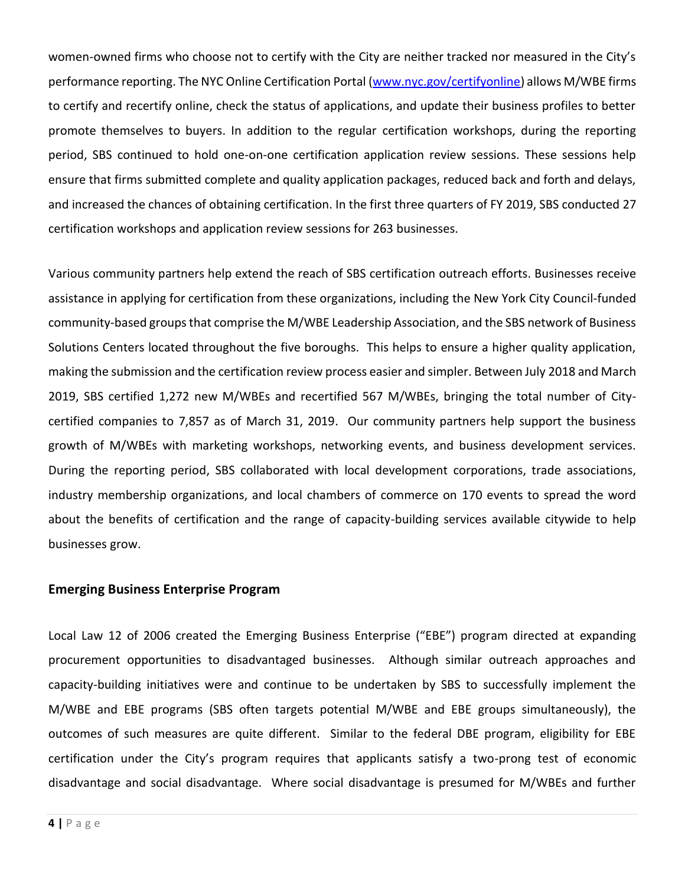women-owned firms who choose not to certify with the City are neither tracked nor measured in the City's performance reporting. The NYC Online Certification Portal [\(www.nyc.gov/certifyonline\)](https://sbsconnect.nyc.gov/) allows M/WBE firms to certify and recertify online, check the status of applications, and update their business profiles to better promote themselves to buyers. In addition to the regular certification workshops, during the reporting period, SBS continued to hold one-on-one certification application review sessions. These sessions help ensure that firms submitted complete and quality application packages, reduced back and forth and delays, and increased the chances of obtaining certification. In the first three quarters of FY 2019, SBS conducted 27 certification workshops and application review sessions for 263 businesses.

Various community partners help extend the reach of SBS certification outreach efforts. Businesses receive assistance in applying for certification from these organizations, including the New York City Council-funded community-based groups that comprise the M/WBE Leadership Association, and the SBS network of Business Solutions Centers located throughout the five boroughs. This helps to ensure a higher quality application, making the submission and the certification review process easier and simpler. Between July 2018 and March 2019, SBS certified 1,272 new M/WBEs and recertified 567 M/WBEs, bringing the total number of Citycertified companies to 7,857 as of March 31, 2019. Our community partners help support the business growth of M/WBEs with marketing workshops, networking events, and business development services. During the reporting period, SBS collaborated with local development corporations, trade associations, industry membership organizations, and local chambers of commerce on 170 events to spread the word about the benefits of certification and the range of capacity-building services available citywide to help businesses grow.

#### **Emerging Business Enterprise Program**

Local Law 12 of 2006 created the Emerging Business Enterprise ("EBE") program directed at expanding procurement opportunities to disadvantaged businesses. Although similar outreach approaches and capacity-building initiatives were and continue to be undertaken by SBS to successfully implement the M/WBE and EBE programs (SBS often targets potential M/WBE and EBE groups simultaneously), the outcomes of such measures are quite different. Similar to the federal DBE program, eligibility for EBE certification under the City's program requires that applicants satisfy a two-prong test of economic disadvantage and social disadvantage. Where social disadvantage is presumed for M/WBEs and further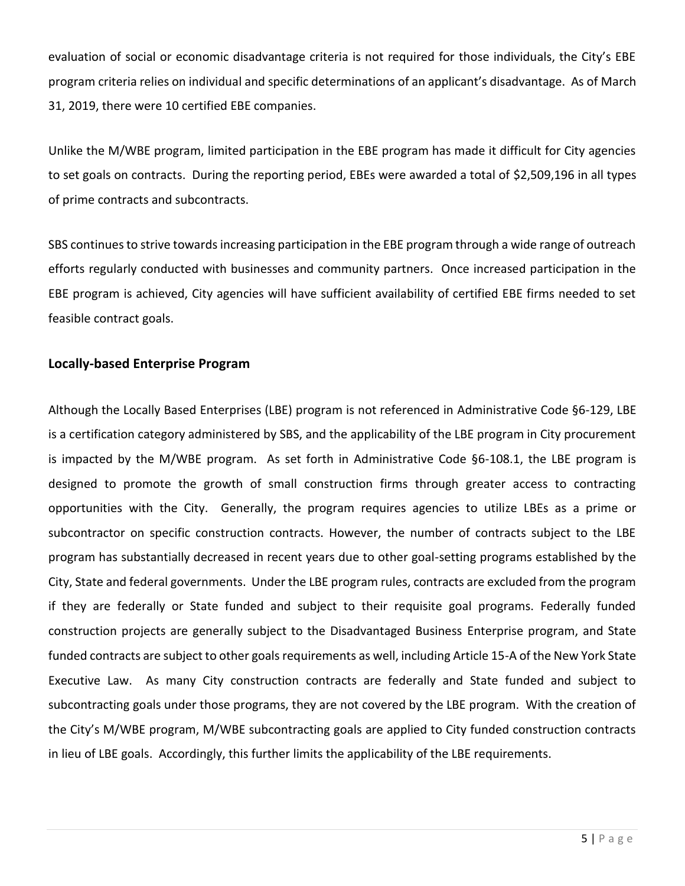evaluation of social or economic disadvantage criteria is not required for those individuals, the City's EBE program criteria relies on individual and specific determinations of an applicant's disadvantage. As of March 31, 2019, there were 10 certified EBE companies.

Unlike the M/WBE program, limited participation in the EBE program has made it difficult for City agencies to set goals on contracts. During the reporting period, EBEs were awarded a total of \$2,509,196 in all types of prime contracts and subcontracts.

SBS continues to strive towards increasing participation in the EBE program through a wide range of outreach efforts regularly conducted with businesses and community partners. Once increased participation in the EBE program is achieved, City agencies will have sufficient availability of certified EBE firms needed to set feasible contract goals.

#### **Locally-based Enterprise Program**

Although the Locally Based Enterprises (LBE) program is not referenced in Administrative Code §6-129, LBE is a certification category administered by SBS, and the applicability of the LBE program in City procurement is impacted by the M/WBE program. As set forth in Administrative Code §6-108.1, the LBE program is designed to promote the growth of small construction firms through greater access to contracting opportunities with the City. Generally, the program requires agencies to utilize LBEs as a prime or subcontractor on specific construction contracts. However, the number of contracts subject to the LBE program has substantially decreased in recent years due to other goal-setting programs established by the City, State and federal governments. Under the LBE program rules, contracts are excluded from the program if they are federally or State funded and subject to their requisite goal programs. Federally funded construction projects are generally subject to the Disadvantaged Business Enterprise program, and State funded contracts are subject to other goals requirements as well, including Article 15-A of the New York State Executive Law. As many City construction contracts are federally and State funded and subject to subcontracting goals under those programs, they are not covered by the LBE program. With the creation of the City's M/WBE program, M/WBE subcontracting goals are applied to City funded construction contracts in lieu of LBE goals. Accordingly, this further limits the applicability of the LBE requirements.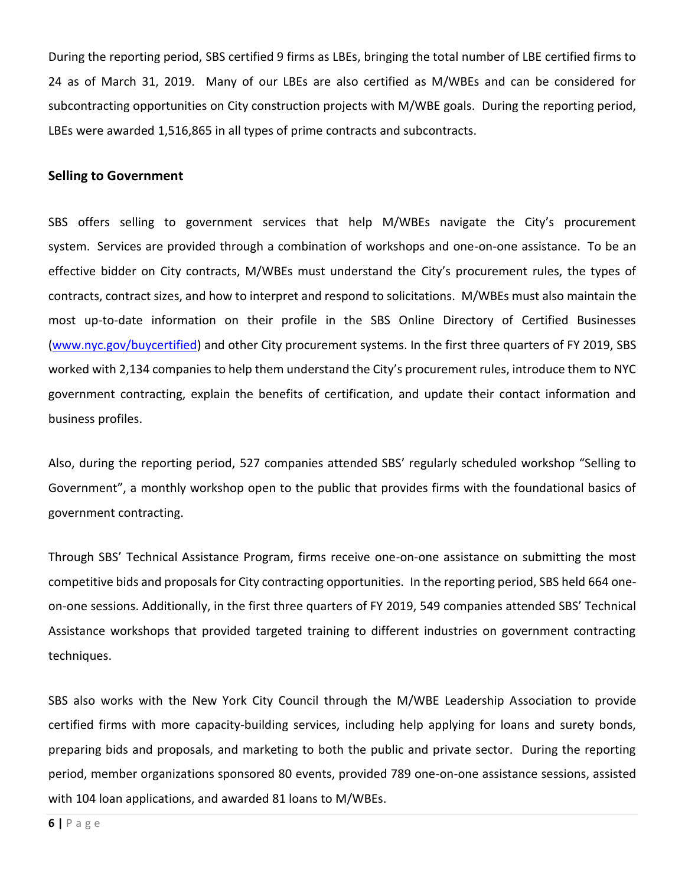During the reporting period, SBS certified 9 firms as LBEs, bringing the total number of LBE certified firms to 24 as of March 31, 2019. Many of our LBEs are also certified as M/WBEs and can be considered for subcontracting opportunities on City construction projects with M/WBE goals. During the reporting period, LBEs were awarded 1,516,865 in all types of prime contracts and subcontracts.

#### **Selling to Government**

SBS offers selling to government services that help M/WBEs navigate the City's procurement system. Services are provided through a combination of workshops and one-on-one assistance. To be an effective bidder on City contracts, M/WBEs must understand the City's procurement rules, the types of contracts, contract sizes, and how to interpret and respond to solicitations. M/WBEs must also maintain the most up-to-date information on their profile in the SBS Online Directory of Certified Businesses [\(www.nyc.gov/buycertified\)](http://mtprawvwsbswtp1-1.nyc.gov/) and other City procurement systems. In the first three quarters of FY 2019, SBS worked with 2,134 companies to help them understand the City's procurement rules, introduce them to NYC government contracting, explain the benefits of certification, and update their contact information and business profiles.

Also, during the reporting period, 527 companies attended SBS' regularly scheduled workshop "Selling to Government", a monthly workshop open to the public that provides firms with the foundational basics of government contracting.

Through SBS' Technical Assistance Program, firms receive one-on-one assistance on submitting the most competitive bids and proposals for City contracting opportunities. In the reporting period, SBS held 664 oneon-one sessions. Additionally, in the first three quarters of FY 2019, 549 companies attended SBS' Technical Assistance workshops that provided targeted training to different industries on government contracting techniques.

SBS also works with the New York City Council through the M/WBE Leadership Association to provide certified firms with more capacity-building services, including help applying for loans and surety bonds, preparing bids and proposals, and marketing to both the public and private sector. During the reporting period, member organizations sponsored 80 events, provided 789 one-on-one assistance sessions, assisted with 104 loan applications, and awarded 81 loans to M/WBEs.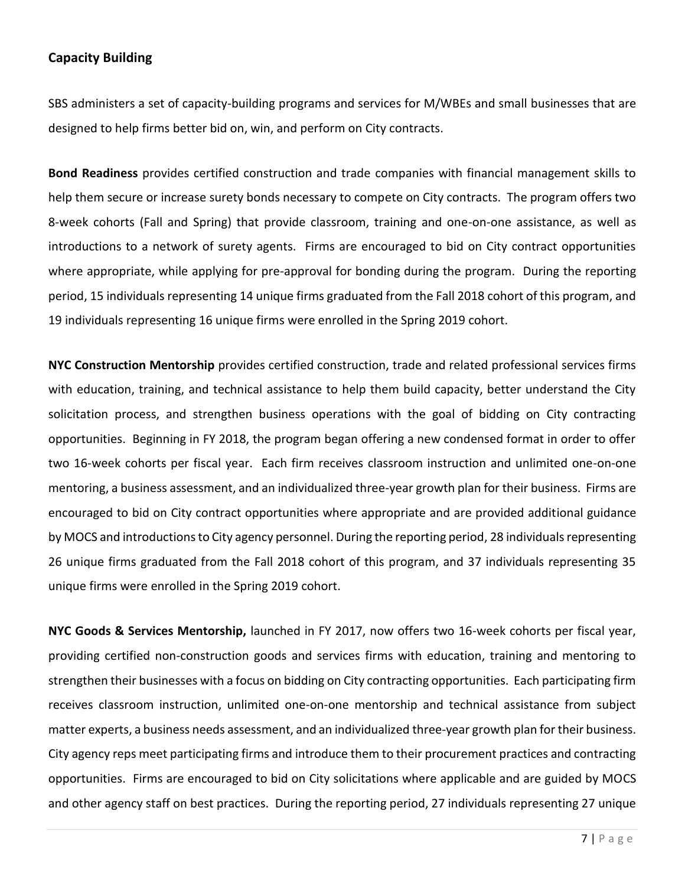#### **Capacity Building**

SBS administers a set of capacity-building programs and services for M/WBEs and small businesses that are designed to help firms better bid on, win, and perform on City contracts.

**Bond Readiness** provides certified construction and trade companies with financial management skills to help them secure or increase surety bonds necessary to compete on City contracts. The program offers two 8-week cohorts (Fall and Spring) that provide classroom, training and one-on-one assistance, as well as introductions to a network of surety agents. Firms are encouraged to bid on City contract opportunities where appropriate, while applying for pre-approval for bonding during the program. During the reporting period, 15 individuals representing 14 unique firms graduated from the Fall 2018 cohort of this program, and 19 individuals representing 16 unique firms were enrolled in the Spring 2019 cohort.

**NYC Construction Mentorship** provides certified construction, trade and related professional services firms with education, training, and technical assistance to help them build capacity, better understand the City solicitation process, and strengthen business operations with the goal of bidding on City contracting opportunities. Beginning in FY 2018, the program began offering a new condensed format in order to offer two 16-week cohorts per fiscal year. Each firm receives classroom instruction and unlimited one-on-one mentoring, a business assessment, and an individualized three-year growth plan for their business. Firms are encouraged to bid on City contract opportunities where appropriate and are provided additional guidance by MOCS and introductions to City agency personnel. During the reporting period, 28 individuals representing 26 unique firms graduated from the Fall 2018 cohort of this program, and 37 individuals representing 35 unique firms were enrolled in the Spring 2019 cohort.

**NYC Goods & Services Mentorship,** launched in FY 2017, now offers two 16-week cohorts per fiscal year, providing certified non-construction goods and services firms with education, training and mentoring to strengthen their businesses with a focus on bidding on City contracting opportunities. Each participating firm receives classroom instruction, unlimited one-on-one mentorship and technical assistance from subject matter experts, a business needs assessment, and an individualized three-year growth plan for their business. City agency reps meet participating firms and introduce them to their procurement practices and contracting opportunities. Firms are encouraged to bid on City solicitations where applicable and are guided by MOCS and other agency staff on best practices. During the reporting period, 27 individuals representing 27 unique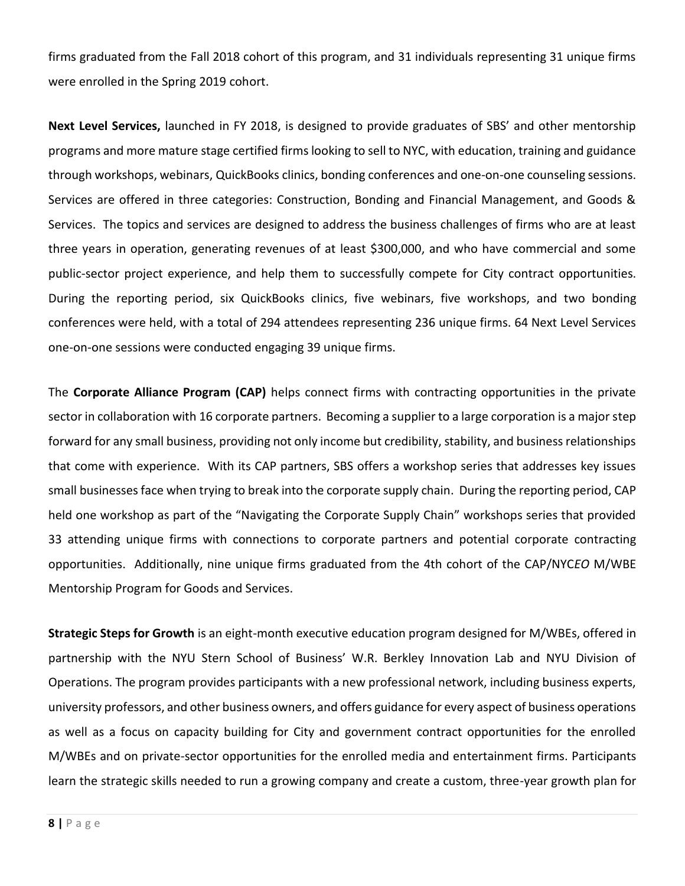firms graduated from the Fall 2018 cohort of this program, and 31 individuals representing 31 unique firms were enrolled in the Spring 2019 cohort.

**Next Level Services,** launched in FY 2018, is designed to provide graduates of SBS' and other mentorship programs and more mature stage certified firms looking to sell to NYC, with education, training and guidance through workshops, webinars, QuickBooks clinics, bonding conferences and one-on-one counseling sessions. Services are offered in three categories: Construction, Bonding and Financial Management, and Goods & Services. The topics and services are designed to address the business challenges of firms who are at least three years in operation, generating revenues of at least \$300,000, and who have commercial and some public-sector project experience, and help them to successfully compete for City contract opportunities. During the reporting period, six QuickBooks clinics, five webinars, five workshops, and two bonding conferences were held, with a total of 294 attendees representing 236 unique firms. 64 Next Level Services one-on-one sessions were conducted engaging 39 unique firms.

The **Corporate Alliance Program (CAP)** helps connect firms with contracting opportunities in the private sector in collaboration with 16 corporate partners. Becoming a supplier to a large corporation is a major step forward for any small business, providing not only income but credibility, stability, and business relationships that come with experience. With its CAP partners, SBS offers a workshop series that addresses key issues small businesses face when trying to break into the corporate supply chain. During the reporting period, CAP held one workshop as part of the "Navigating the Corporate Supply Chain" workshops series that provided 33 attending unique firms with connections to corporate partners and potential corporate contracting opportunities. Additionally, nine unique firms graduated from the 4th cohort of the CAP/NYC*EO* M/WBE Mentorship Program for Goods and Services.

**Strategic Steps for Growth** is an eight-month executive education program designed for M/WBEs, offered in partnership with the NYU Stern School of Business' W.R. Berkley Innovation Lab and NYU Division of Operations. The program provides participants with a new professional network, including business experts, university professors, and other business owners, and offers guidance for every aspect of business operations as well as a focus on capacity building for City and government contract opportunities for the enrolled M/WBEs and on private-sector opportunities for the enrolled media and entertainment firms. Participants learn the strategic skills needed to run a growing company and create a custom, three-year growth plan for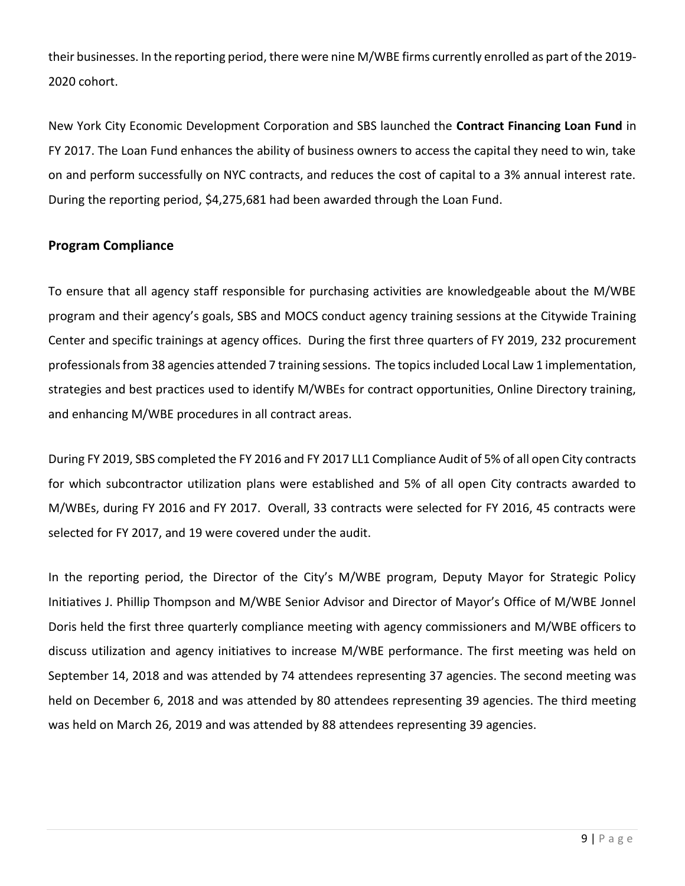their businesses. In the reporting period, there were nine M/WBE firms currently enrolled as part of the 2019- 2020 cohort.

New York City Economic Development Corporation and SBS launched the **Contract Financing Loan Fund** in FY 2017. The Loan Fund enhances the ability of business owners to access the capital they need to win, take on and perform successfully on NYC contracts, and reduces the cost of capital to a 3% annual interest rate. During the reporting period, \$4,275,681 had been awarded through the Loan Fund.

#### **Program Compliance**

To ensure that all agency staff responsible for purchasing activities are knowledgeable about the M/WBE program and their agency's goals, SBS and MOCS conduct agency training sessions at the Citywide Training Center and specific trainings at agency offices. During the first three quarters of FY 2019, 232 procurement professionals from 38 agencies attended 7 training sessions. The topics included Local Law 1 implementation, strategies and best practices used to identify M/WBEs for contract opportunities, Online Directory training, and enhancing M/WBE procedures in all contract areas.

During FY 2019, SBS completed the FY 2016 and FY 2017 LL1 Compliance Audit of 5% of all open City contracts for which subcontractor utilization plans were established and 5% of all open City contracts awarded to M/WBEs, during FY 2016 and FY 2017. Overall, 33 contracts were selected for FY 2016, 45 contracts were selected for FY 2017, and 19 were covered under the audit.

In the reporting period, the Director of the City's M/WBE program, Deputy Mayor for Strategic Policy Initiatives J. Phillip Thompson and M/WBE Senior Advisor and Director of Mayor's Office of M/WBE Jonnel Doris held the first three quarterly compliance meeting with agency commissioners and M/WBE officers to discuss utilization and agency initiatives to increase M/WBE performance. The first meeting was held on September 14, 2018 and was attended by 74 attendees representing 37 agencies. The second meeting was held on December 6, 2018 and was attended by 80 attendees representing 39 agencies. The third meeting was held on March 26, 2019 and was attended by 88 attendees representing 39 agencies.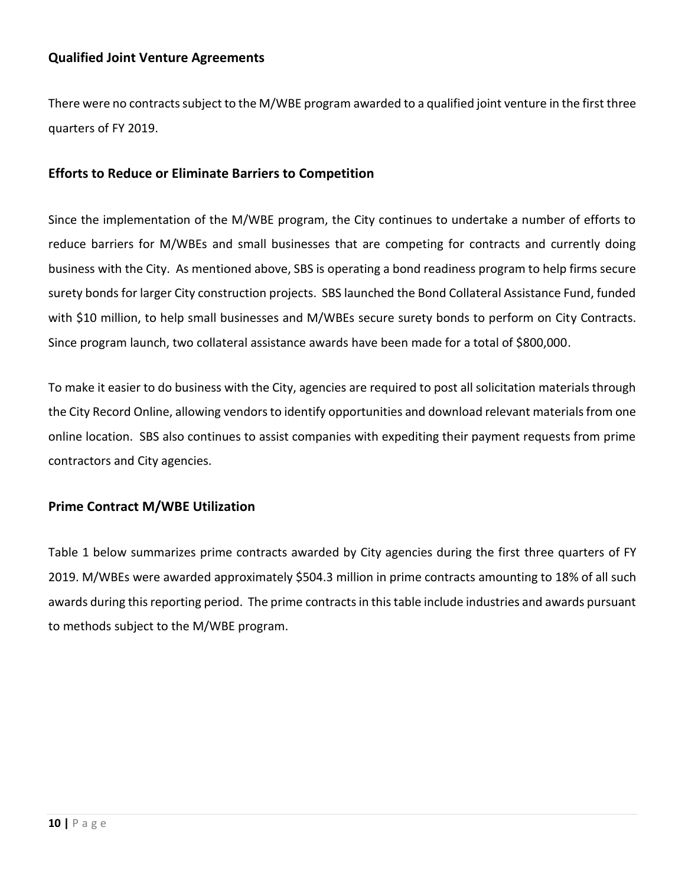#### **Qualified Joint Venture Agreements**

There were no contracts subject to the M/WBE program awarded to a qualified joint venture in the first three quarters of FY 2019.

#### **Efforts to Reduce or Eliminate Barriers to Competition**

Since the implementation of the M/WBE program, the City continues to undertake a number of efforts to reduce barriers for M/WBEs and small businesses that are competing for contracts and currently doing business with the City. As mentioned above, SBS is operating a bond readiness program to help firms secure surety bonds for larger City construction projects. SBS launched the Bond Collateral Assistance Fund, funded with \$10 million, to help small businesses and M/WBEs secure surety bonds to perform on City Contracts. Since program launch, two collateral assistance awards have been made for a total of \$800,000.

To make it easier to do business with the City, agencies are required to post all solicitation materials through the City Record Online, allowing vendors to identify opportunities and download relevant materials from one online location. SBS also continues to assist companies with expediting their payment requests from prime contractors and City agencies.

#### **Prime Contract M/WBE Utilization**

Table 1 below summarizes prime contracts awarded by City agencies during the first three quarters of FY 2019. M/WBEs were awarded approximately \$504.3 million in prime contracts amounting to 18% of all such awards during this reporting period. The prime contracts in this table include industries and awards pursuant to methods subject to the M/WBE program.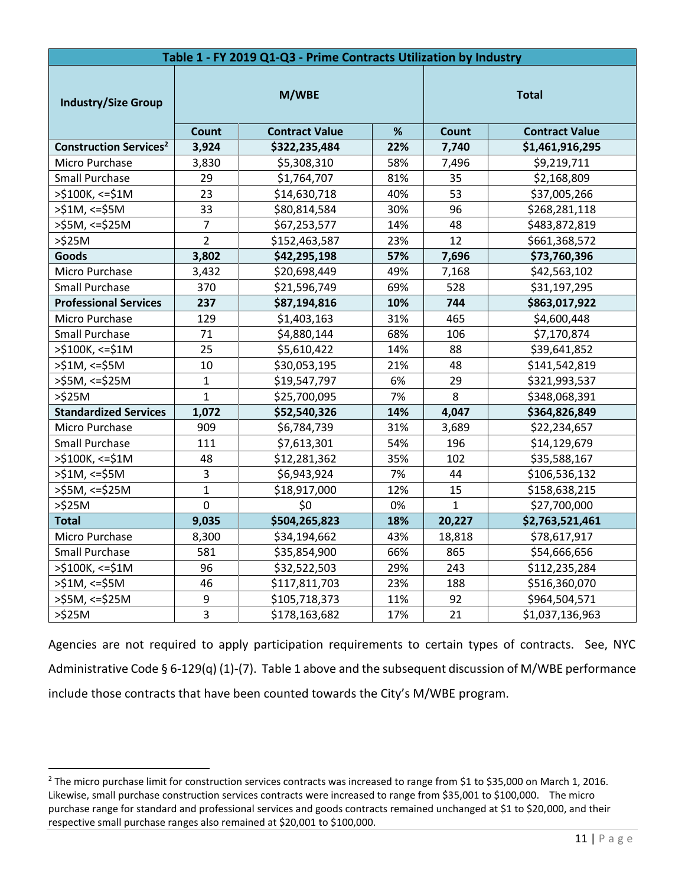| Table 1 - FY 2019 Q1-Q3 - Prime Contracts Utilization by Industry |                  |                                                 |              |                |                                          |  |
|-------------------------------------------------------------------|------------------|-------------------------------------------------|--------------|----------------|------------------------------------------|--|
| <b>Industry/Size Group</b>                                        |                  | M/WBE                                           | <b>Total</b> |                |                                          |  |
| <b>Construction Services<sup>2</sup></b>                          | 3,924            | Count<br><b>Contract Value</b><br>\$322,235,484 |              | Count<br>7,740 | <b>Contract Value</b><br>\$1,461,916,295 |  |
| Micro Purchase                                                    | 3,830            | \$5,308,310                                     | 22%<br>58%   | 7,496          | \$9,219,711                              |  |
| <b>Small Purchase</b>                                             | 29               | \$1,764,707                                     | 81%          | 35             | \$2,168,809                              |  |
| >\$100K, <=\$1M                                                   | 23               | \$14,630,718                                    | 40%          | 53             | \$37,005,266                             |  |
| $>51M$ , <= $55M$                                                 | 33               | \$80,814,584                                    | 30%          | 96             | \$268,281,118                            |  |
| $>$ \$5M, <=\$25M                                                 | $\overline{7}$   | \$67,253,577                                    | 14%          | 48             | \$483,872,819                            |  |
| $>525M$                                                           | $\overline{2}$   | 23%<br>\$152,463,587                            |              | 12             | \$661,368,572                            |  |
| <b>Goods</b>                                                      | 3,802            | \$42,295,198                                    | 57%          | 7,696          | \$73,760,396                             |  |
| Micro Purchase                                                    | 3,432            | \$20,698,449                                    | 49%          | 7,168          | \$42,563,102                             |  |
| <b>Small Purchase</b>                                             | 370              | \$21,596,749                                    | 69%          | 528            | \$31,197,295                             |  |
| <b>Professional Services</b>                                      | 237              | \$87,194,816                                    | 10%          | 744            | \$863,017,922                            |  |
| Micro Purchase                                                    | 129              | \$1,403,163                                     | 31%          | 465            | \$4,600,448                              |  |
| <b>Small Purchase</b>                                             | 71               | \$4,880,144                                     | 68%          | 106            | \$7,170,874                              |  |
| $>$ \$100K, <=\$1M                                                | 25               | \$5,610,422                                     | 14%          | 88             | \$39,641,852                             |  |
| $>51M$ , <= $$5M$                                                 | 10               | \$30,053,195                                    | 21%          | 48             | \$141,542,819                            |  |
| $>55M$ , <= $$25M$                                                | $\mathbf{1}$     | \$19,547,797                                    | 6%           | 29             | \$321,993,537                            |  |
| $>\frac{2}{3}$ 25M                                                | $\mathbf{1}$     | \$25,700,095                                    | 7%           | 8              | \$348,068,391                            |  |
| <b>Standardized Services</b>                                      | 1,072            | \$52,540,326                                    | 14%          | 4,047          | \$364,826,849                            |  |
| Micro Purchase                                                    | 909              | \$6,784,739                                     | 31%          | 3,689          | \$22,234,657                             |  |
| <b>Small Purchase</b>                                             | 111              | \$7,613,301                                     | 54%          | 196            | \$14,129,679                             |  |
| >\$100K, <= \$1M                                                  | 48               | \$12,281,362                                    | 35%          | 102            | \$35,588,167                             |  |
| $>51M$ , <= $$5M$                                                 | 3                | \$6,943,924                                     | 7%           | 44             | \$106,536,132                            |  |
| $>55M$ , <= $$25M$                                                | $\mathbf 1$      | \$18,917,000                                    | 12%          | 15             | \$158,638,215                            |  |
| $>525M$                                                           | $\mathbf 0$      | \$0                                             | 0%           | 1              | \$27,700,000                             |  |
| <b>Total</b>                                                      | 9,035            | \$504,265,823                                   | 18%          | 20,227         | \$2,763,521,461                          |  |
| Micro Purchase                                                    | 8,300            | \$34,194,662                                    | 43%          | 18,818         | \$78,617,917                             |  |
| Small Purchase                                                    | 581              | \$35,854,900                                    | 66%          | 865            | \$54,666,656                             |  |
| $>$ \$100K, <=\$1M                                                | 96               | \$32,522,503                                    | 29%          | 243            | \$112,235,284                            |  |
| $>51M$ , <= $55M$                                                 | 46               | \$117,811,703                                   | 23%          | 188            | \$516,360,070                            |  |
| >\$5M, <=\$25M                                                    | $\boldsymbol{9}$ | \$105,718,373                                   | 11%          | 92             | \$964,504,571                            |  |
| $>\frac{6}{2}$ 25M                                                | $\overline{3}$   | \$178,163,682                                   | 17%          | 21             | \$1,037,136,963                          |  |

Agencies are not required to apply participation requirements to certain types of contracts. See, NYC Administrative Code § 6-129(q) (1)-(7). Table 1 above and the subsequent discussion of M/WBE performance include those contracts that have been counted towards the City's M/WBE program.

 $\overline{\phantom{a}}$ 

<sup>&</sup>lt;sup>2</sup> The micro purchase limit for construction services contracts was increased to range from \$1 to \$35,000 on March 1, 2016. Likewise, small purchase construction services contracts were increased to range from \$35,001 to \$100,000. The micro purchase range for standard and professional services and goods contracts remained unchanged at \$1 to \$20,000, and their respective small purchase ranges also remained at \$20,001 to \$100,000.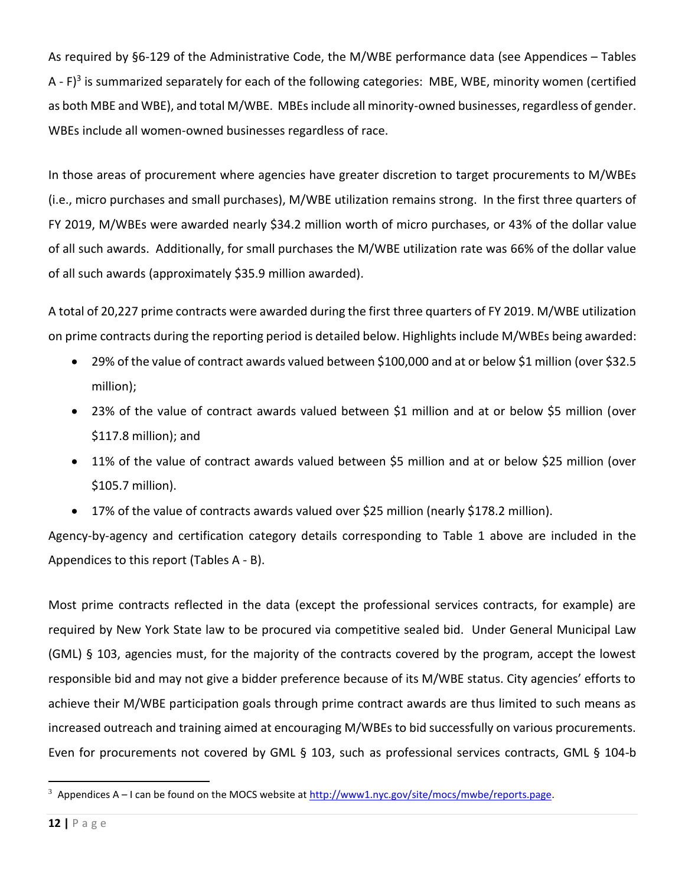As required by §6-129 of the Administrative Code, the M/WBE performance data (see Appendices – Tables A - F)<sup>3</sup> is summarized separately for each of the following categories: MBE, WBE, minority women (certified as both MBE and WBE), and total M/WBE. MBEs include all minority-owned businesses, regardless of gender. WBEs include all women-owned businesses regardless of race.

In those areas of procurement where agencies have greater discretion to target procurements to M/WBEs (i.e., micro purchases and small purchases), M/WBE utilization remains strong. In the first three quarters of FY 2019, M/WBEs were awarded nearly \$34.2 million worth of micro purchases, or 43% of the dollar value of all such awards. Additionally, for small purchases the M/WBE utilization rate was 66% of the dollar value of all such awards (approximately \$35.9 million awarded).

A total of 20,227 prime contracts were awarded during the first three quarters of FY 2019. M/WBE utilization on prime contracts during the reporting period is detailed below. Highlights include M/WBEs being awarded:

- 29% of the value of contract awards valued between \$100,000 and at or below \$1 million (over \$32.5 million);
- 23% of the value of contract awards valued between \$1 million and at or below \$5 million (over \$117.8 million); and
- 11% of the value of contract awards valued between \$5 million and at or below \$25 million (over \$105.7 million).
- 17% of the value of contracts awards valued over \$25 million (nearly \$178.2 million).

Agency-by-agency and certification category details corresponding to Table 1 above are included in the Appendices to this report (Tables A - B).

Most prime contracts reflected in the data (except the professional services contracts, for example) are required by New York State law to be procured via competitive sealed bid. Under General Municipal Law (GML) § 103, agencies must, for the majority of the contracts covered by the program, accept the lowest responsible bid and may not give a bidder preference because of its M/WBE status. City agencies' efforts to achieve their M/WBE participation goals through prime contract awards are thus limited to such means as increased outreach and training aimed at encouraging M/WBEs to bid successfully on various procurements. Even for procurements not covered by GML § 103, such as professional services contracts, GML § 104-b

 $\overline{\phantom{a}}$ 

<sup>&</sup>lt;sup>3</sup> Appendices A – I can be found on the MOCS website at [http://www1.nyc.gov/site/mocs/mwbe/reports.page.](http://www1.nyc.gov/site/mocs/mwbe/reports.page)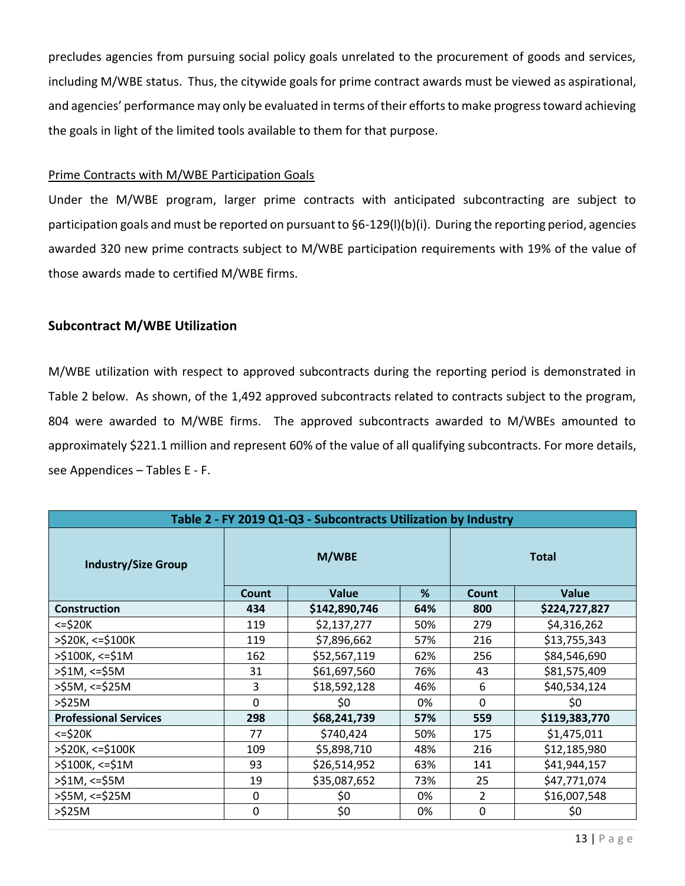precludes agencies from pursuing social policy goals unrelated to the procurement of goods and services, including M/WBE status. Thus, the citywide goals for prime contract awards must be viewed as aspirational, and agencies' performance may only be evaluated in terms of their efforts to make progress toward achieving the goals in light of the limited tools available to them for that purpose.

#### Prime Contracts with M/WBE Participation Goals

Under the M/WBE program, larger prime contracts with anticipated subcontracting are subject to participation goals and must be reported on pursuant to §6-129(l)(b)(i). During the reporting period, agencies awarded 320 new prime contracts subject to M/WBE participation requirements with 19% of the value of those awards made to certified M/WBE firms.

#### **Subcontract M/WBE Utilization**

M/WBE utilization with respect to approved subcontracts during the reporting period is demonstrated in Table 2 below. As shown, of the 1,492 approved subcontracts related to contracts subject to the program, 804 were awarded to M/WBE firms. The approved subcontracts awarded to M/WBEs amounted to approximately \$221.1 million and represent 60% of the value of all qualifying subcontracts. For more details, see Appendices – Tables E - F.

| Table 2 - FY 2019 Q1-Q3 - Subcontracts Utilization by Industry |              |               |     |                |               |  |  |
|----------------------------------------------------------------|--------------|---------------|-----|----------------|---------------|--|--|
| <b>Industry/Size Group</b>                                     | M/WBE        |               |     |                | <b>Total</b>  |  |  |
|                                                                | <b>Count</b> | <b>Value</b>  | %   | Count          | <b>Value</b>  |  |  |
| <b>Construction</b>                                            | 434          | \$142,890,746 | 64% | 800            | \$224,727,827 |  |  |
| $\le$ = \$20K                                                  | 119          | \$2,137,277   | 50% | 279            | \$4,316,262   |  |  |
| $>$ \$20K, <=\$100K                                            | 119          | \$7,896,662   | 57% | 216            | \$13,755,343  |  |  |
| $>$ \$100K, <=\$1M                                             | 162          | \$52,567,119  | 62% | 256            | \$84,546,690  |  |  |
| $>51M$ , <= $$5M$                                              | 31           | \$61,697,560  | 76% | 43             | \$81,575,409  |  |  |
| $>$ \$5M, <=\$25M                                              | 3            | \$18,592,128  | 46% | 6              | \$40,534,124  |  |  |
| $>\frac{6}{2}$ 25M                                             | $\mathbf 0$  | \$0           | 0%  | 0              | \$0           |  |  |
| <b>Professional Services</b>                                   | 298          | \$68,241,739  | 57% | 559            | \$119,383,770 |  |  |
| $\le$ = \$20K                                                  | 77           | \$740,424     | 50% | 175            | \$1,475,011   |  |  |
| >\$20K, <=\$100K                                               | 109          | \$5,898,710   | 48% | 216            | \$12,185,980  |  |  |
| $>$ \$100K, <=\$1M                                             | 93           | \$26,514,952  | 63% | 141            | \$41,944,157  |  |  |
| $>51M$ , <= $$5M$                                              | 19           | \$35,087,652  | 73% | 25             | \$47,771,074  |  |  |
| $>$ \$5M, <=\$25M                                              | $\Omega$     | \$0           | 0%  | $\overline{2}$ | \$16,007,548  |  |  |
| $>525M$                                                        | 0            | \$0           | 0%  | 0              | \$0           |  |  |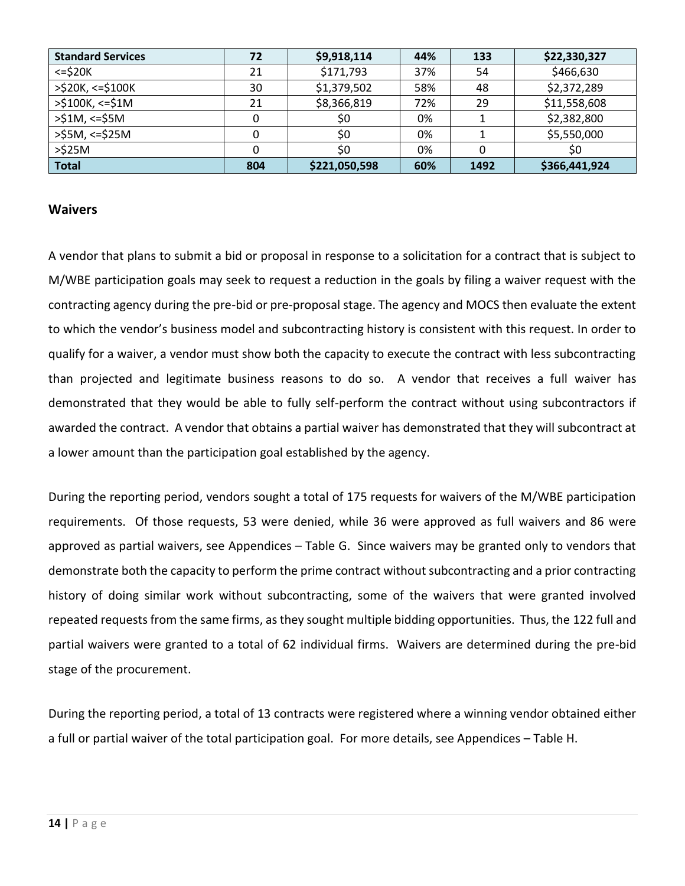| <b>Standard Services</b> | 72  | \$9,918,114   | 44% | 133  | \$22,330,327  |
|--------------------------|-----|---------------|-----|------|---------------|
| $<=$ \$20 $K$            | 21  | \$171,793     | 37% | 54   | \$466,630     |
| $>$ \$20K, <=\$100K      | 30  | \$1,379,502   | 58% | 48   | \$2,372,289   |
| $>$ \$100K, <=\$1M       | 21  | \$8,366,819   | 72% | 29   | \$11,558,608  |
| $>51M$ , <= $55M$        |     | \$0           | 0%  |      | \$2,382,800   |
| >\$5M, <=\$25M           |     | \$0           | 0%  |      | \$5,550,000   |
| $>525M$                  |     | \$0           | 0%  |      | \$0           |
| <b>Total</b>             | 804 | \$221,050,598 | 60% | 1492 | \$366,441,924 |

#### **Waivers**

A vendor that plans to submit a bid or proposal in response to a solicitation for a contract that is subject to M/WBE participation goals may seek to request a reduction in the goals by filing a waiver request with the contracting agency during the pre-bid or pre-proposal stage. The agency and MOCS then evaluate the extent to which the vendor's business model and subcontracting history is consistent with this request. In order to qualify for a waiver, a vendor must show both the capacity to execute the contract with less subcontracting than projected and legitimate business reasons to do so. A vendor that receives a full waiver has demonstrated that they would be able to fully self-perform the contract without using subcontractors if awarded the contract. A vendor that obtains a partial waiver has demonstrated that they will subcontract at a lower amount than the participation goal established by the agency.

During the reporting period, vendors sought a total of 175 requests for waivers of the M/WBE participation requirements. Of those requests, 53 were denied, while 36 were approved as full waivers and 86 were approved as partial waivers, see Appendices – Table G. Since waivers may be granted only to vendors that demonstrate both the capacity to perform the prime contract without subcontracting and a prior contracting history of doing similar work without subcontracting, some of the waivers that were granted involved repeated requests from the same firms, as they sought multiple bidding opportunities. Thus, the 122 full and partial waivers were granted to a total of 62 individual firms. Waivers are determined during the pre-bid stage of the procurement.

During the reporting period, a total of 13 contracts were registered where a winning vendor obtained either a full or partial waiver of the total participation goal. For more details, see Appendices – Table H.